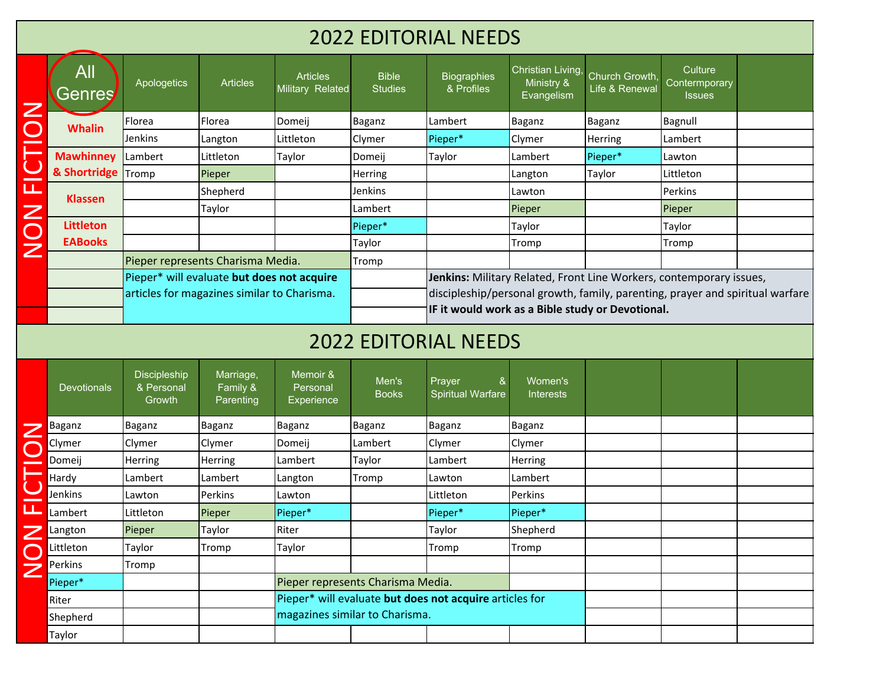## 2022 EDITORIAL NEEDS

|                | All<br><b>Genres</b> | Apologetics                       | <b>Articles</b>                             | <b>Articles</b><br>Military Related | <b>Bible</b><br><b>Studies</b> | <b>Biographies</b><br>& Profiles                                              | Christian Living,<br>Ministry &<br>Evangelism | Church Growth,<br>Life & Renewal | Culture<br>Contermporary<br>Issues |  |  |
|----------------|----------------------|-----------------------------------|---------------------------------------------|-------------------------------------|--------------------------------|-------------------------------------------------------------------------------|-----------------------------------------------|----------------------------------|------------------------------------|--|--|
|                | <b>Whalin</b>        | Florea                            | Florea                                      | Domeij                              | Baganz                         | Lambert                                                                       | Baganz                                        | Baganz                           | Bagnull                            |  |  |
|                |                      | Jenkins                           | Langton                                     | Littleton                           | Clymer                         | Pieper*                                                                       | Clymer                                        | Herring                          | Lambert                            |  |  |
|                | <b>Mawhinney</b>     | Lambert                           | Littleton                                   | Taylor                              | Domeij                         | Taylor                                                                        | Lambert                                       | Pieper*                          | Lawton                             |  |  |
| _              | & Shortridge Tromp   |                                   | Pieper                                      |                                     | <b>Herring</b>                 |                                                                               | Langton                                       | Taylor                           | Littleton                          |  |  |
| ட              | <b>Klassen</b>       |                                   | Shepherd                                    |                                     | Jenkins                        |                                                                               | Lawton                                        |                                  | Perkins                            |  |  |
| $\mathbf Z$    |                      |                                   | Taylor                                      |                                     | Lambert                        |                                                                               | Pieper                                        |                                  | Pieper                             |  |  |
| $\bigcirc$     | <b>Littleton</b>     |                                   |                                             |                                     | Pieper*                        |                                                                               | Taylor                                        |                                  | Taylor                             |  |  |
| $\overline{z}$ | <b>EABooks</b>       |                                   |                                             |                                     | Taylor                         |                                                                               | Tromp                                         |                                  | Tromp                              |  |  |
|                |                      | Pieper represents Charisma Media. |                                             |                                     | Tromp                          |                                                                               |                                               |                                  |                                    |  |  |
|                |                      |                                   | Pieper* will evaluate but does not acquire  |                                     |                                | Jenkins: Military Related, Front Line Workers, contemporary issues,           |                                               |                                  |                                    |  |  |
|                |                      |                                   | articles for magazines similar to Charisma. |                                     |                                | discipleship/personal growth, family, parenting, prayer and spiritual warfare |                                               |                                  |                                    |  |  |
|                |                      |                                   |                                             |                                     |                                | IF it would work as a Bible study or Devotional.                              |                                               |                                  |                                    |  |  |

## 2022 EDITORIAL NEEDS

|          | <b>Whalin</b>      |                                      |                                             |                                    | ∽໐∽∙                              |                                                                     | ~o∽…                                                                          |         | - 00. . <del>. .</del> |  |  |  |
|----------|--------------------|--------------------------------------|---------------------------------------------|------------------------------------|-----------------------------------|---------------------------------------------------------------------|-------------------------------------------------------------------------------|---------|------------------------|--|--|--|
|          |                    | Jenkins                              | Langton                                     | Littleton                          | Clymer                            | Pieper*                                                             | Clymer                                                                        | Herring | Lambert                |  |  |  |
| <b>D</b> | <b>Mawhinney</b>   | Lambert                              | Littleton                                   | Taylor                             | Domeij                            | Taylor                                                              | Lambert                                                                       | Pieper* | Lawton                 |  |  |  |
|          | & Shortridge Tromp |                                      | Pieper                                      |                                    | Herring                           |                                                                     | Langton                                                                       | Taylor  | Littleton              |  |  |  |
| щ        | <b>Klassen</b>     |                                      | Shepherd                                    |                                    | Jenkins                           |                                                                     | Lawton                                                                        |         | Perkins                |  |  |  |
|          |                    |                                      | Taylor                                      |                                    | Lambert                           |                                                                     | Pieper                                                                        |         | Pieper                 |  |  |  |
| NON      | <b>Littleton</b>   |                                      |                                             |                                    | Pieper*                           |                                                                     | Taylor                                                                        |         | Taylor                 |  |  |  |
|          | <b>EABooks</b>     |                                      |                                             |                                    | Taylor                            |                                                                     | Tromp                                                                         |         | Tromp                  |  |  |  |
|          |                    |                                      | Pieper represents Charisma Media.           |                                    | Tromp                             |                                                                     |                                                                               |         |                        |  |  |  |
|          |                    |                                      | Pieper* will evaluate but does not acquire  |                                    |                                   | Jenkins: Military Related, Front Line Workers, contemporary issues, |                                                                               |         |                        |  |  |  |
|          |                    |                                      | articles for magazines similar to Charisma. |                                    |                                   |                                                                     | discipleship/personal growth, family, parenting, prayer and spiritual warfare |         |                        |  |  |  |
|          |                    |                                      |                                             |                                    |                                   | IF it would work as a Bible study or Devotional.                    |                                                                               |         |                        |  |  |  |
|          |                    |                                      |                                             |                                    |                                   | <b>2022 EDITORIAL NEEDS</b>                                         |                                                                               |         |                        |  |  |  |
|          |                    |                                      |                                             |                                    |                                   |                                                                     |                                                                               |         |                        |  |  |  |
|          | <b>Devotionals</b> | Discipleship<br>& Personal<br>Growth | Marriage,<br>Family &<br>Parenting          | Memoir &<br>Personal<br>Experience | Men's<br><b>Books</b>             | $\&$<br>Prayer<br><b>Spiritual Warfare</b>                          | Women's<br>Interests                                                          |         |                        |  |  |  |
| Z        | <b>Baganz</b>      | Baganz                               | Baganz                                      | Baganz                             | Baganz                            | <b>Baganz</b>                                                       | Baganz                                                                        |         |                        |  |  |  |
|          | Clymer             | Clymer                               | Clymer                                      | Domeij                             | Lambert                           | Clymer                                                              | Clymer                                                                        |         |                        |  |  |  |
|          | Domeij             | <b>Herring</b>                       | Herring                                     | Lambert                            | Taylor                            | Lambert                                                             | Herring                                                                       |         |                        |  |  |  |
|          | Hardy              | Lambert                              | Lambert                                     | Langton                            | Tromp                             | Lawton                                                              | Lambert                                                                       |         |                        |  |  |  |
|          | Jenkins            | Lawton                               | Perkins                                     | Lawton                             |                                   | Littleton                                                           | Perkins                                                                       |         |                        |  |  |  |
| ட        | Lambert            | Littleton                            | Pieper                                      | Pieper*                            |                                   | Pieper*                                                             | Pieper*                                                                       |         |                        |  |  |  |
| Z        | Langton            | Pieper                               | Taylor                                      | Riter                              |                                   | Taylor                                                              | Shepherd                                                                      |         |                        |  |  |  |
|          | Littleton          | Taylor                               | Tromp                                       | Taylor                             |                                   | Tromp                                                               | Tromp                                                                         |         |                        |  |  |  |
| Z        | Perkins            | Tromp                                |                                             |                                    |                                   |                                                                     |                                                                               |         |                        |  |  |  |
|          | Pieper*            |                                      |                                             |                                    | Pieper represents Charisma Media. |                                                                     |                                                                               |         |                        |  |  |  |
|          | Riter              |                                      |                                             |                                    |                                   | Pieper* will evaluate but does not acquire articles for             |                                                                               |         |                        |  |  |  |
|          | Shepherd           |                                      |                                             |                                    | magazines similar to Charisma.    |                                                                     |                                                                               |         |                        |  |  |  |
|          | Taylor             |                                      |                                             |                                    |                                   |                                                                     |                                                                               |         |                        |  |  |  |
|          |                    |                                      |                                             |                                    |                                   |                                                                     |                                                                               |         |                        |  |  |  |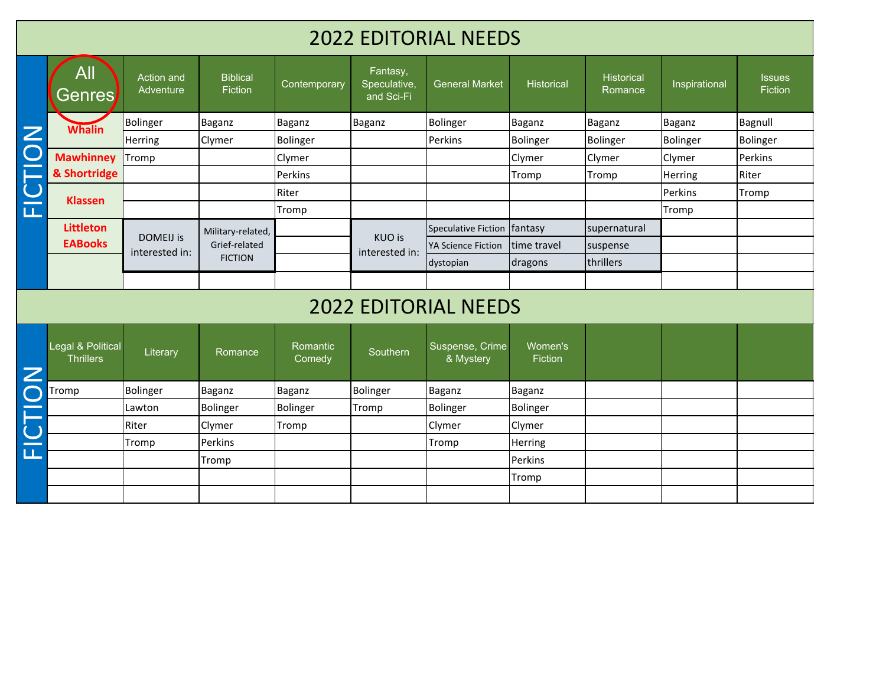## 2022 EDITORIAL NEEDS

|                | All<br><u>Genres</u>                  | Action and<br>Adventure            | <b>Biblical</b><br>Fiction | Contemporary       | Fantasy,<br>Speculative,<br>and Sci-Fi | <b>General Market</b>        | Historical         | Historical<br>Romance | Inspirational | <b>Issues</b><br><b>Fiction</b> |
|----------------|---------------------------------------|------------------------------------|----------------------------|--------------------|----------------------------------------|------------------------------|--------------------|-----------------------|---------------|---------------------------------|
|                | <b>Whalin</b>                         | <b>Bolinger</b>                    | Baganz                     | Baganz             | Baganz                                 | Bolinger                     | Baganz             | <b>Baganz</b>         | Baganz        | Bagnull                         |
| $\overline{Z}$ |                                       | Herring                            | Clymer                     | Bolinger           |                                        | Perkins                      | Bolinger           | <b>Bolinger</b>       | Bolinger      | Bolinger                        |
| FICTIO         | <b>Mawhinney</b>                      | Tromp                              |                            | Clymer             |                                        |                              | Clymer             | Clymer                | Clymer        | Perkins                         |
|                | & Shortridge                          |                                    |                            | Perkins            |                                        |                              | Tromp              | Tromp                 | Herring       | Riter                           |
|                | <b>Klassen</b>                        |                                    |                            | Riter              |                                        |                              |                    |                       | Perkins       | Tromp                           |
|                |                                       |                                    |                            | Tromp              |                                        |                              |                    |                       | Tromp         |                                 |
|                | <b>Littleton</b>                      |                                    | Military-related,          |                    |                                        | <b>Speculative Fiction</b>   | fantasy            | supernatural          |               |                                 |
|                | <b>EABooks</b>                        | <b>DOMEIJ</b> is<br>interested in: | Grief-related              |                    | KUO is<br>interested in:               | YA Science Fiction           | time travel        | suspense              |               |                                 |
|                |                                       |                                    | <b>FICTION</b>             |                    |                                        | dystopian                    | dragons            | thrillers             |               |                                 |
|                |                                       |                                    |                            |                    |                                        |                              |                    |                       |               |                                 |
|                |                                       |                                    |                            |                    |                                        | <b>2022 EDITORIAL NEEDS</b>  |                    |                       |               |                                 |
| Z              | Legal & Political<br><b>Thrillers</b> | Literary                           | Romance                    | Romantic<br>Comedy | Southern                               | Suspense, Crime<br>& Mystery | Women's<br>Fiction |                       |               |                                 |
| $\bullet$      | Tromp                                 | <b>Bolinger</b>                    | <b>Baganz</b>              | Baganz             | Bolinger                               | Baganz                       | Baganz             |                       |               |                                 |
| $\sim$         |                                       | Lawton                             | <b>Bolinger</b>            | Bolinger           | Tromp                                  | Bolinger                     | Bolinger           |                       |               |                                 |
|                |                                       | Riter                              | Clymer                     | Tromp              |                                        | Clymer                       | Clymer             |                       |               |                                 |
|                |                                       | Tromp                              | Perkins                    |                    |                                        | Tromp                        | Herring            |                       |               |                                 |
| ĒĪ             |                                       |                                    | Tromp                      |                    |                                        |                              | Perkins            |                       |               |                                 |
|                |                                       |                                    |                            |                    |                                        |                              | Tromp              |                       |               |                                 |
|                |                                       |                                    |                            |                    |                                        |                              |                    |                       |               |                                 |